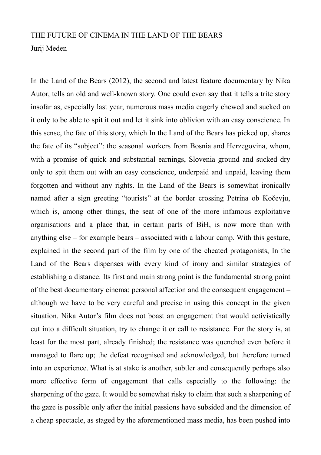## THE FUTURE OF CINEMA IN THE LAND OF THE BEARS Jurij Meden

In the Land of the Bears (2012), the second and latest feature documentary by Nika Autor, tells an old and well-known story. One could even say that it tells a trite story insofar as, especially last year, numerous mass media eagerly chewed and sucked on it only to be able to spit it out and let it sink into oblivion with an easy conscience. In this sense, the fate of this story, which In the Land of the Bears has picked up, shares the fate of its "subject": the seasonal workers from Bosnia and Herzegovina, whom, with a promise of quick and substantial earnings, Slovenia ground and sucked dry only to spit them out with an easy conscience, underpaid and unpaid, leaving them forgotten and without any rights. In the Land of the Bears is somewhat ironically named after a sign greeting "tourists" at the border crossing Petrina ob Kočevju, which is, among other things, the seat of one of the more infamous exploitative organisations and a place that, in certain parts of BiH, is now more than with anything else – for example bears – associated with a labour camp. With this gesture, explained in the second part of the film by one of the cheated protagonists, In the Land of the Bears dispenses with every kind of irony and similar strategies of establishing a distance. Its first and main strong point is the fundamental strong point of the best documentary cinema: personal affection and the consequent engagement – although we have to be very careful and precise in using this concept in the given situation. Nika Autor's film does not boast an engagement that would activistically cut into a difficult situation, try to change it or call to resistance. For the story is, at least for the most part, already finished; the resistance was quenched even before it managed to flare up; the defeat recognised and acknowledged, but therefore turned into an experience. What is at stake is another, subtler and consequently perhaps also more effective form of engagement that calls especially to the following: the sharpening of the gaze. It would be somewhat risky to claim that such a sharpening of the gaze is possible only after the initial passions have subsided and the dimension of a cheap spectacle, as staged by the aforementioned mass media, has been pushed into